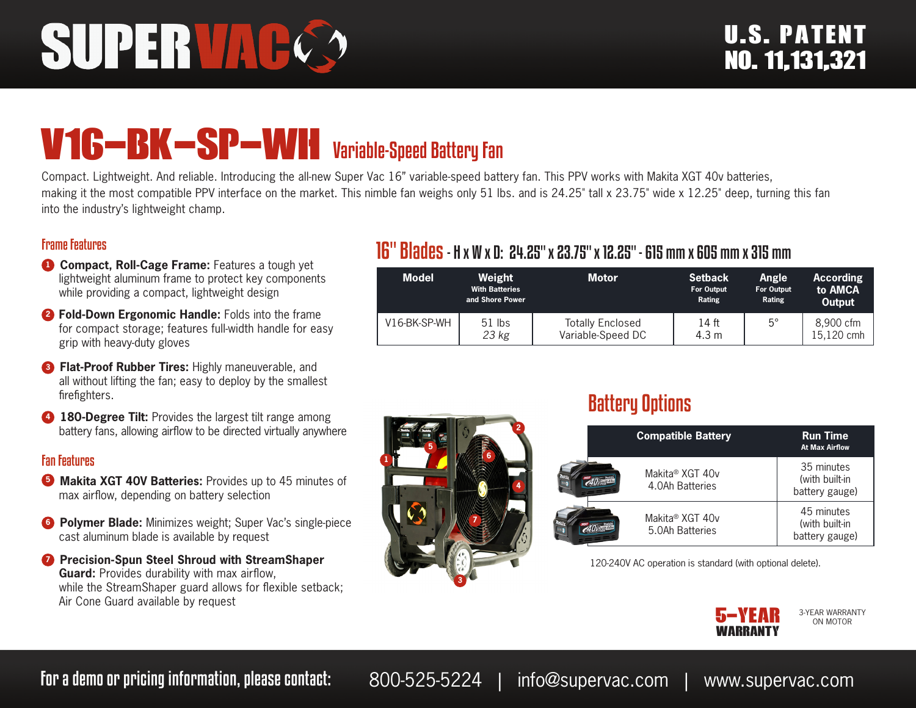# SUPERVAC

# V16-BK-SP-WH Variable-Speed Battery Fan

Compact. Lightweight. And reliable. Introducing the all-new Super Vac 16" variable-speed battery fan. This PPV works with Makita XGT 40v batteries, making it the most compatible PPV interface on the market. This nimble fan weighs only 51 lbs. and is 24.25" tall x 23.75" wide x 12.25" deep, turning this fan into the industry's lightweight champ.

#### Frame Features

- **1 Compact, Roll-Cage Frame:** Features a tough yet lightweight aluminum frame to protect key components while providing a compact, lightweight design
- **<sup>2</sup> Fold-Down Ergonomic Handle:** Folds into the frame for compact storage; features full-width handle for easy grip with heavy-duty gloves
- **3 Flat-Proof Rubber Tires: Highly maneuverable, and** all without lifting the fan; easy to deploy by the smallest firefighters.
- **4 180-Degree Tilt:** Provides the largest tilt range among battery fans, allowing airflow to be directed virtually anywhere

#### Fan Features

- **3** Makita XGT 40V Batteries: Provides up to 45 minutes of max airflow, depending on battery selection
- **6 Polymer Blade:** Minimizes weight; Super Vac's single-piece cast aluminum blade is available by request
- *D* Precision-Spun Steel Shroud with StreamShaper **Guard:** Provides durability with max airflow, while the StreamShaper guard allows for flexible setback; Air Cone Guard available by request

### 16" Blades- H x W x D: 24.25" x 23.75" x 12.25" - 615 mm x 605 mm x 315 mm

| <b>Model</b> | Weight<br><b>With Batteries</b><br>and Shore Power | <b>Motor</b>                                 | <b>Setback</b><br><b>For Output</b><br>Rating | Angle<br><b>For Output</b><br>Rating | <b>According</b><br>to AMCA<br>Output |
|--------------|----------------------------------------------------|----------------------------------------------|-----------------------------------------------|--------------------------------------|---------------------------------------|
| V16-BK-SP-WH | $51$ lbs<br>23 kg                                  | <b>Totally Enclosed</b><br>Variable-Speed DC | 14 ft<br>4.3 m                                | $5^\circ$                            | 8.900 cfm<br>15.120 cmh               |



## Battery Options

| <b>Compatible Battery</b>          | <b>Run Time</b><br><b>At Max Airflow</b>       |
|------------------------------------|------------------------------------------------|
| Makita® XGT 40v<br>4.0Ah Batteries | 35 minutes<br>(with built-in<br>battery gauge) |
| Makita® XGT 40v<br>5.0Ah Batteries | 45 minutes<br>(with built-in<br>battery gauge) |

120-240V AC operation is standard (with optional delete).



3-YEAR WARRANTY ON MOTOR

For a demo or pricing information, please contact: 800-525-5224 | info@supervac.com | www.supervac.com